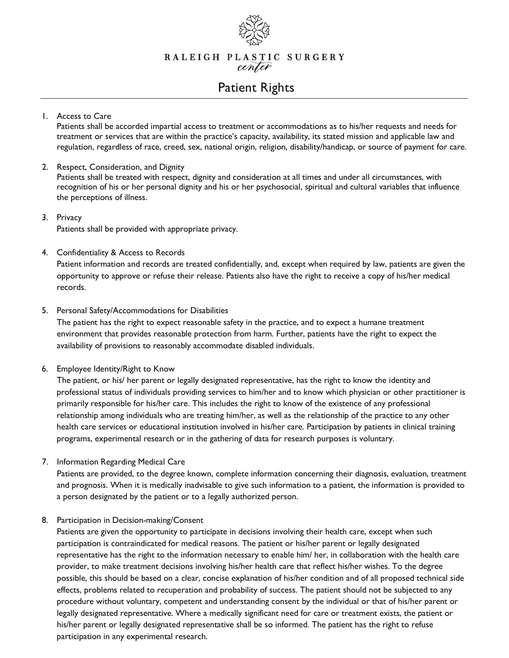

RALEIGH PLASTIC SURGERY center

# Patient Rights

## 1. Access to Care

Patients shall be accorded impartial access to treatment or accommodations as to his/her requests and needs for treatment or services that are within the practice's capacity, availability, its stated mission and applicable law and regulation, regardless of race, creed, sex, national origin, religion, disability/handicap, or source of payment for care.

#### 2. Respect, Consideration, and Dignity

Patients shall be treated with respect, dignity and consideration at all times and under all circumstances, with recognition of his or her personal dignity and his or her psychosocial, spiritual and cultural variables that influence the perceptions of illness.

## 3. Privacy

Patients shall be provided with appropriate privacy.

#### 4. Confidentiality & Access to Records

Patient information and records are treated confidentially, and, except when required by law, patients are given the opportunity to approve or refuse their release. Patients also have the right to receive a copy of his/her medical records.

#### 5. Personal Safety/Accommodations for Disabilities

The patient has the right to expect reasonable safety in the practice, and to expect a humane treatment environment that provides reasonable protection from harm. Further, patients have the right to expect the availability of provisions to reasonably accommodate disabled individuals.

## 6. Employee Identity/Right to Know

The patient, or his/ her parent or legally designated representative, has the right to know the identity and professional status of individuals providing services to him/her and to know which physician or other practitioner is primarily responsible for his/her care. This includes the right to know of the existence of any professional relationship among individuals who are treating him/her, as well as the relationship of the practice to any other health care services or educational institution involved in his/her care. Participation by patients in clinical training programs, experimental research or in the gathering of data for research purposes is voluntary.

## 7. Information Regarding Medical Care

Patients are provided, to the degree known, complete information concerning their diagnosis, evaluation, treatment and prognosis. When it is medically inadvisable to give such information to a patient, the information is provided to a person designated by the patient or to a legally authorized person.

## 8. Participation in Decision-making/Consent

Patients are given the opportunity to participate in decisions involving their health care, except when such participation is contraindicated for medical reasons. The patient or his/her parent or legally designated representative has the right to the information necessary to enable him/ her, in collaboration with the health care provider, to make treatment decisions involving his/her health care that reflect his/her wishes. To the degree possible, this should be based on a clear, concise explanation of his/her condition and of all proposed technical side effects, problems related to recuperation and probability of success. The patient should not be subjected to any procedure without voluntary, competent and understanding consent by the individual or that of his/her parent or legally designated representative. Where a medically significant need for care or treatment exists, the patient or his/her parent or legally designated representative shall be so informed. The patient has the right to refuse participation in any experimental research.